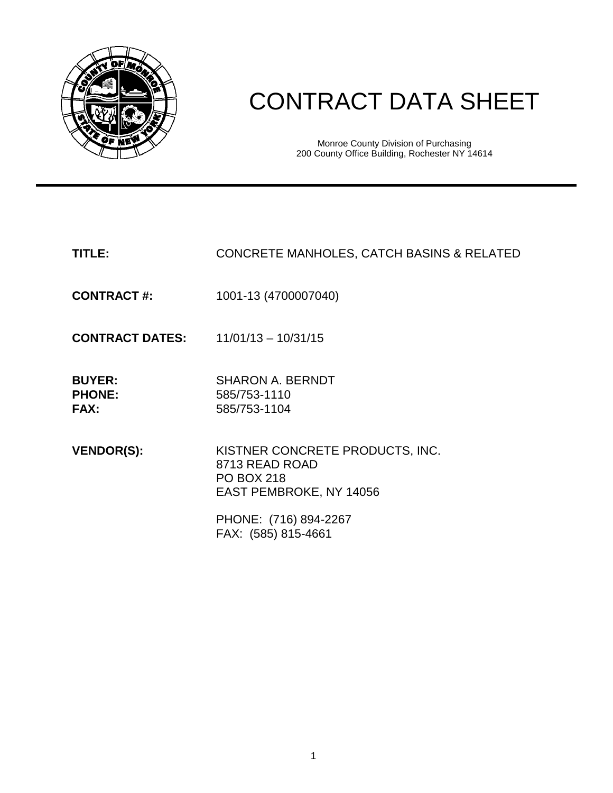

# CONTRACT DATA SHEET

Monroe County Division of Purchasing 200 County Office Building, Rochester NY 14614

# **TITLE:** CONCRETE MANHOLES, CATCH BASINS & RELATED

**CONTRACT #:** 1001-13 (4700007040)

**CONTRACT DATES:** 11/01/13 – 10/31/15

| <b>BUYER:</b> | <b>SHARON A. BERNDT</b> |
|---------------|-------------------------|
| <b>PHONE:</b> | 585/753-1110            |
| <b>FAX:</b>   | 585/753-1104            |

**VENDOR(S):** KISTNER CONCRETE PRODUCTS, INC. 8713 READ ROAD PO BOX 218 EAST PEMBROKE, NY 14056

> PHONE: (716) 894-2267 FAX: (585) 815-4661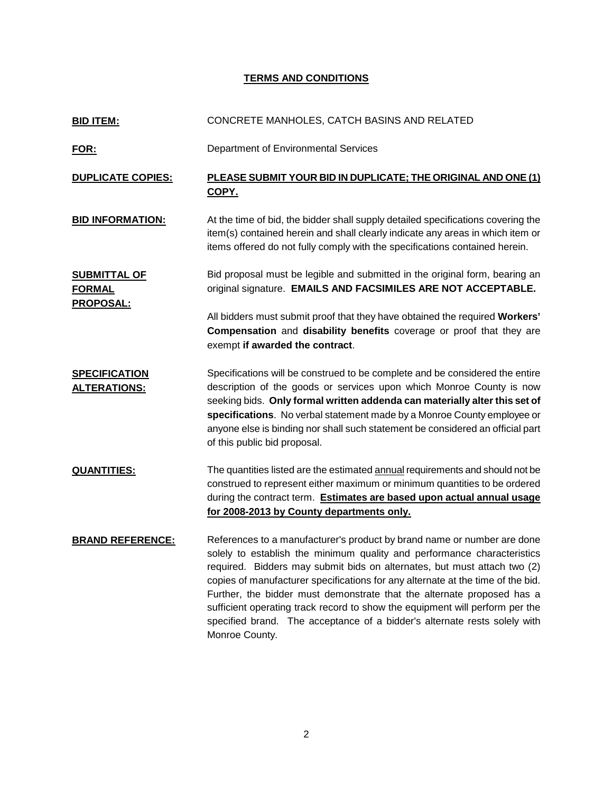## **TERMS AND CONDITIONS**

| <b>BID ITEM:</b>                                         | CONCRETE MANHOLES, CATCH BASINS AND RELATED                                                                                                                                                                                                                                                                                                                                                                                                                                                                                                                                |
|----------------------------------------------------------|----------------------------------------------------------------------------------------------------------------------------------------------------------------------------------------------------------------------------------------------------------------------------------------------------------------------------------------------------------------------------------------------------------------------------------------------------------------------------------------------------------------------------------------------------------------------------|
| <u>FOR:</u>                                              | Department of Environmental Services                                                                                                                                                                                                                                                                                                                                                                                                                                                                                                                                       |
| <b>DUPLICATE COPIES:</b>                                 | PLEASE SUBMIT YOUR BID IN DUPLICATE; THE ORIGINAL AND ONE (1)<br>COPY.                                                                                                                                                                                                                                                                                                                                                                                                                                                                                                     |
| <b>BID INFORMATION:</b>                                  | At the time of bid, the bidder shall supply detailed specifications covering the<br>item(s) contained herein and shall clearly indicate any areas in which item or<br>items offered do not fully comply with the specifications contained herein.                                                                                                                                                                                                                                                                                                                          |
| <b>SUBMITTAL OF</b><br><b>FORMAL</b><br><b>PROPOSAL:</b> | Bid proposal must be legible and submitted in the original form, bearing an<br>original signature. EMAILS AND FACSIMILES ARE NOT ACCEPTABLE.                                                                                                                                                                                                                                                                                                                                                                                                                               |
|                                                          | All bidders must submit proof that they have obtained the required Workers'<br>Compensation and disability benefits coverage or proof that they are<br>exempt if awarded the contract.                                                                                                                                                                                                                                                                                                                                                                                     |
| <b>SPECIFICATION</b><br><b>ALTERATIONS:</b>              | Specifications will be construed to be complete and be considered the entire<br>description of the goods or services upon which Monroe County is now<br>seeking bids. Only formal written addenda can materially alter this set of<br>specifications. No verbal statement made by a Monroe County employee or<br>anyone else is binding nor shall such statement be considered an official part<br>of this public bid proposal.                                                                                                                                            |
| <b>QUANTITIES:</b>                                       | The quantities listed are the estimated annual requirements and should not be<br>construed to represent either maximum or minimum quantities to be ordered<br>during the contract term. Estimates are based upon actual annual usage<br>for 2008-2013 by County departments only.                                                                                                                                                                                                                                                                                          |
| <b>BRAND REFERENCE:</b>                                  | References to a manufacturer's product by brand name or number are done<br>solely to establish the minimum quality and performance characteristics<br>required. Bidders may submit bids on alternates, but must attach two (2)<br>copies of manufacturer specifications for any alternate at the time of the bid.<br>Further, the bidder must demonstrate that the alternate proposed has a<br>sufficient operating track record to show the equipment will perform per the<br>specified brand. The acceptance of a bidder's alternate rests solely with<br>Monroe County. |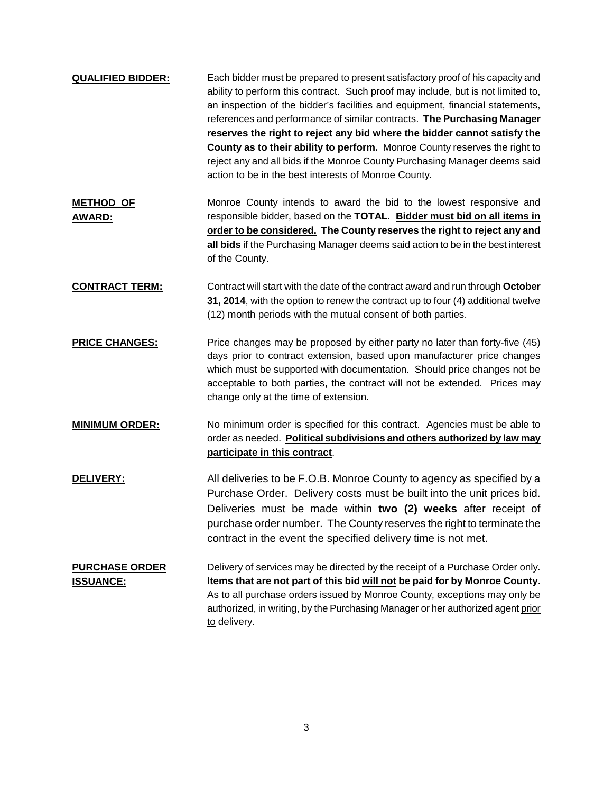| <b>QUALIFIED BIDDER:</b>                  | Each bidder must be prepared to present satisfactory proof of his capacity and<br>ability to perform this contract. Such proof may include, but is not limited to,<br>an inspection of the bidder's facilities and equipment, financial statements,<br>references and performance of similar contracts. The Purchasing Manager<br>reserves the right to reject any bid where the bidder cannot satisfy the<br>County as to their ability to perform. Monroe County reserves the right to<br>reject any and all bids if the Monroe County Purchasing Manager deems said<br>action to be in the best interests of Monroe County. |
|-------------------------------------------|--------------------------------------------------------------------------------------------------------------------------------------------------------------------------------------------------------------------------------------------------------------------------------------------------------------------------------------------------------------------------------------------------------------------------------------------------------------------------------------------------------------------------------------------------------------------------------------------------------------------------------|
| <b>METHOD OF</b><br><b>AWARD:</b>         | Monroe County intends to award the bid to the lowest responsive and<br>responsible bidder, based on the TOTAL. Bidder must bid on all items in<br>order to be considered. The County reserves the right to reject any and<br>all bids if the Purchasing Manager deems said action to be in the best interest<br>of the County.                                                                                                                                                                                                                                                                                                 |
| <b>CONTRACT TERM:</b>                     | Contract will start with the date of the contract award and run through October<br>31, 2014, with the option to renew the contract up to four (4) additional twelve<br>(12) month periods with the mutual consent of both parties.                                                                                                                                                                                                                                                                                                                                                                                             |
| <b>PRICE CHANGES:</b>                     | Price changes may be proposed by either party no later than forty-five (45)<br>days prior to contract extension, based upon manufacturer price changes<br>which must be supported with documentation. Should price changes not be<br>acceptable to both parties, the contract will not be extended. Prices may<br>change only at the time of extension.                                                                                                                                                                                                                                                                        |
| <b>MINIMUM ORDER:</b>                     | No minimum order is specified for this contract. Agencies must be able to<br>order as needed. Political subdivisions and others authorized by law may<br>participate in this contract.                                                                                                                                                                                                                                                                                                                                                                                                                                         |
| <b>DELIVERY:</b>                          | All deliveries to be F.O.B. Monroe County to agency as specified by a<br>Purchase Order. Delivery costs must be built into the unit prices bid.<br>Deliveries must be made within two (2) weeks after receipt of<br>purchase order number. The County reserves the right to terminate the<br>contract in the event the specified delivery time is not met.                                                                                                                                                                                                                                                                     |
| <b>PURCHASE ORDER</b><br><b>ISSUANCE:</b> | Delivery of services may be directed by the receipt of a Purchase Order only.<br>Items that are not part of this bid will not be paid for by Monroe County.<br>As to all purchase orders issued by Monroe County, exceptions may only be<br>authorized, in writing, by the Purchasing Manager or her authorized agent prior<br>to delivery.                                                                                                                                                                                                                                                                                    |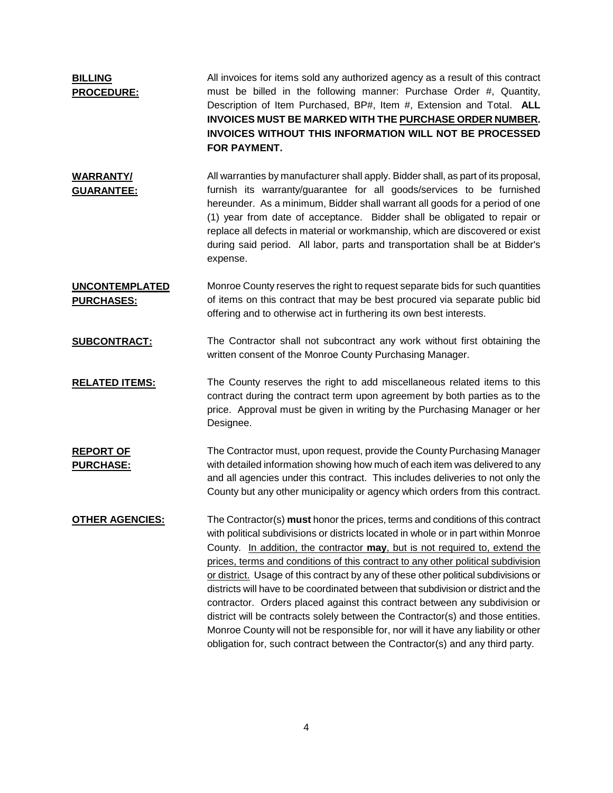| <b>BILLING</b><br><b>PROCEDURE:</b>        | All invoices for items sold any authorized agency as a result of this contract<br>must be billed in the following manner: Purchase Order #, Quantity,<br>Description of Item Purchased, BP#, Item #, Extension and Total. ALL<br>INVOICES MUST BE MARKED WITH THE PURCHASE ORDER NUMBER.<br><b>INVOICES WITHOUT THIS INFORMATION WILL NOT BE PROCESSED</b><br>FOR PAYMENT.                                                                                                                                                                                                                                                                                                                                                                                                                                                                                  |
|--------------------------------------------|-------------------------------------------------------------------------------------------------------------------------------------------------------------------------------------------------------------------------------------------------------------------------------------------------------------------------------------------------------------------------------------------------------------------------------------------------------------------------------------------------------------------------------------------------------------------------------------------------------------------------------------------------------------------------------------------------------------------------------------------------------------------------------------------------------------------------------------------------------------|
| <b>WARRANTY/</b><br><b>GUARANTEE:</b>      | All warranties by manufacturer shall apply. Bidder shall, as part of its proposal,<br>furnish its warranty/guarantee for all goods/services to be furnished<br>hereunder. As a minimum, Bidder shall warrant all goods for a period of one<br>(1) year from date of acceptance. Bidder shall be obligated to repair or<br>replace all defects in material or workmanship, which are discovered or exist<br>during said period. All labor, parts and transportation shall be at Bidder's<br>expense.                                                                                                                                                                                                                                                                                                                                                         |
| <b>UNCONTEMPLATED</b><br><b>PURCHASES:</b> | Monroe County reserves the right to request separate bids for such quantities<br>of items on this contract that may be best procured via separate public bid<br>offering and to otherwise act in furthering its own best interests.                                                                                                                                                                                                                                                                                                                                                                                                                                                                                                                                                                                                                         |
| <b>SUBCONTRACT:</b>                        | The Contractor shall not subcontract any work without first obtaining the<br>written consent of the Monroe County Purchasing Manager.                                                                                                                                                                                                                                                                                                                                                                                                                                                                                                                                                                                                                                                                                                                       |
| <b>RELATED ITEMS:</b>                      | The County reserves the right to add miscellaneous related items to this<br>contract during the contract term upon agreement by both parties as to the<br>price. Approval must be given in writing by the Purchasing Manager or her<br>Designee.                                                                                                                                                                                                                                                                                                                                                                                                                                                                                                                                                                                                            |
| <b>REPORT OF</b><br><b>PURCHASE:</b>       | The Contractor must, upon request, provide the County Purchasing Manager<br>with detailed information showing how much of each item was delivered to any<br>and all agencies under this contract. This includes deliveries to not only the<br>County but any other municipality or agency which orders from this contract.                                                                                                                                                                                                                                                                                                                                                                                                                                                                                                                                  |
| <u>OTHER AGENCIES:</u>                     | The Contractor(s) must honor the prices, terms and conditions of this contract<br>with political subdivisions or districts located in whole or in part within Monroe<br>County. In addition, the contractor may, but is not required to, extend the<br>prices, terms and conditions of this contract to any other political subdivision<br>or district. Usage of this contract by any of these other political subdivisions or<br>districts will have to be coordinated between that subdivision or district and the<br>contractor. Orders placed against this contract between any subdivision or<br>district will be contracts solely between the Contractor(s) and those entities.<br>Monroe County will not be responsible for, nor will it have any liability or other<br>obligation for, such contract between the Contractor(s) and any third party. |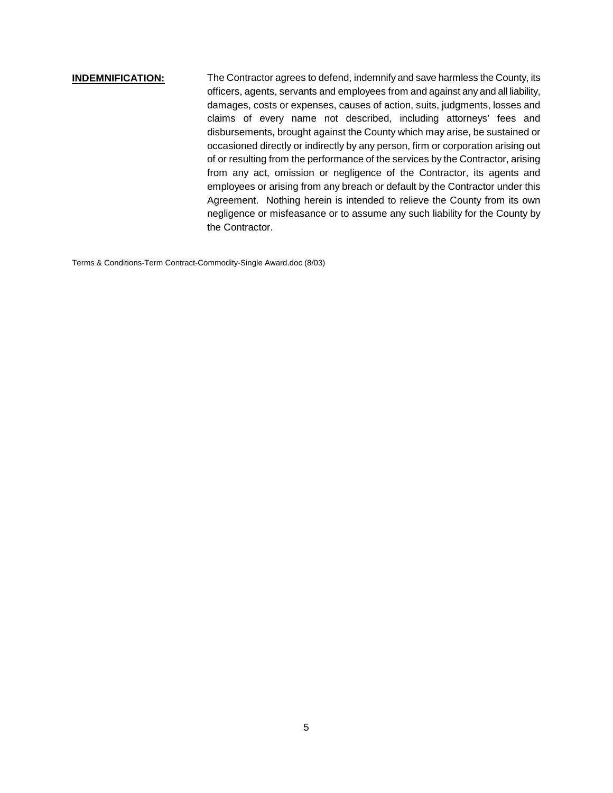# **INDEMNIFICATION:** The Contractor agrees to defend, indemnify and save harmless the County, its officers, agents, servants and employees from and against any and all liability, damages, costs or expenses, causes of action, suits, judgments, losses and claims of every name not described, including attorneys' fees and disbursements, brought against the County which may arise, be sustained or occasioned directly or indirectly by any person, firm or corporation arising out of or resulting from the performance of the services by the Contractor, arising from any act, omission or negligence of the Contractor, its agents and employees or arising from any breach or default by the Contractor under this Agreement. Nothing herein is intended to relieve the County from its own negligence or misfeasance or to assume any such liability for the County by the Contractor.

Terms & Conditions-Term Contract-Commodity-Single Award.doc (8/03)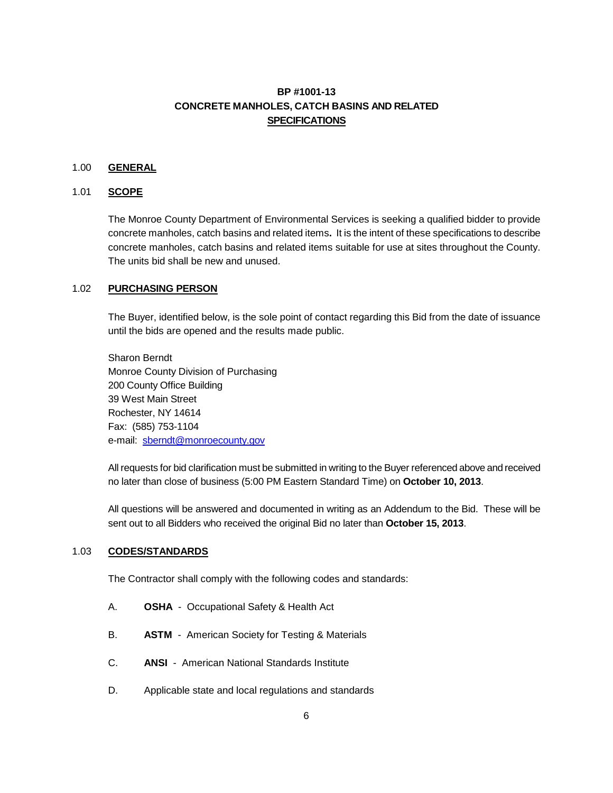# **BP #1001-13 CONCRETE MANHOLES, CATCH BASINS AND RELATED SPECIFICATIONS**

### 1.00 **GENERAL**

#### 1.01 **SCOPE**

The Monroe County Department of Environmental Services is seeking a qualified bidder to provide concrete manholes, catch basins and related items**.** It is the intent of these specifications to describe concrete manholes, catch basins and related items suitable for use at sites throughout the County. The units bid shall be new and unused.

#### 1.02 **PURCHASING PERSON**

The Buyer, identified below, is the sole point of contact regarding this Bid from the date of issuance until the bids are opened and the results made public.

Sharon Berndt Monroe County Division of Purchasing 200 County Office Building 39 West Main Street Rochester, NY 14614 Fax: (585) 753-1104 e-mail: [sberndt@monroecounty.gov](mailto:sberndt@monroecounty.gov)

All requests for bid clarification must be submitted in writing to the Buyer referenced above and received no later than close of business (5:00 PM Eastern Standard Time) on **October 10, 2013**.

All questions will be answered and documented in writing as an Addendum to the Bid. These will be sent out to all Bidders who received the original Bid no later than **October 15, 2013**.

#### 1.03 **CODES/STANDARDS**

The Contractor shall comply with the following codes and standards:

- A. **OSHA** Occupational Safety & Health Act
- B. **ASTM**  American Society for Testing & Materials
- C. **ANSI**  American National Standards Institute
- D. Applicable state and local regulations and standards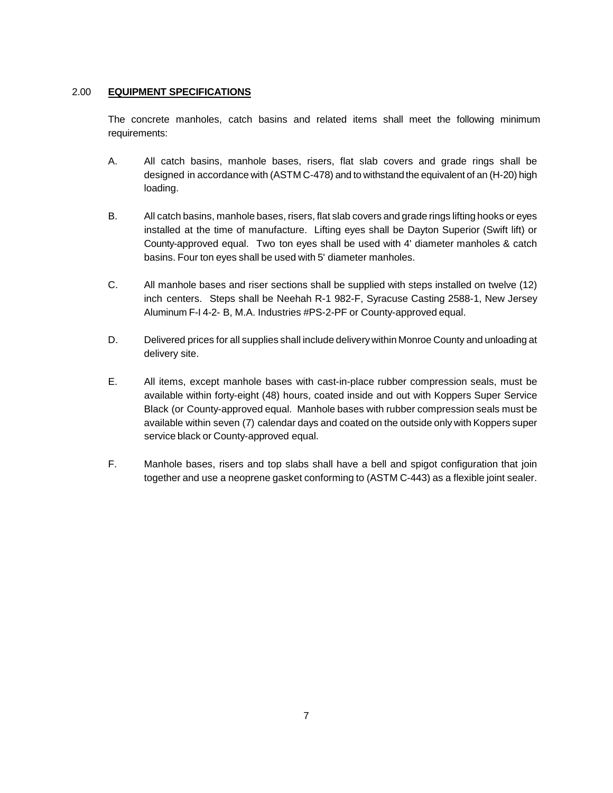#### 2.00 **EQUIPMENT SPECIFICATIONS**

The concrete manholes, catch basins and related items shall meet the following minimum requirements:

- A. All catch basins, manhole bases, risers, flat slab covers and grade rings shall be designed in accordance with (ASTM C-478) and to withstand the equivalent of an (H-20) high loading.
- B. All catch basins, manhole bases, risers, flat slab covers and grade rings lifting hooks or eyes installed at the time of manufacture. Lifting eyes shall be Dayton Superior (Swift lift) or County-approved equal. Two ton eyes shall be used with 4' diameter manholes & catch basins. Four ton eyes shall be used with 5' diameter manholes.
- C. All manhole bases and riser sections shall be supplied with steps installed on twelve (12) inch centers. Steps shall be Neehah R-1 982-F, Syracuse Casting 2588-1, New Jersey Aluminum F-I 4-2- B, M.A. Industries #PS-2-PF or County-approved equal.
- D. Delivered prices for all supplies shall include deliverywithin Monroe County and unloading at delivery site.
- E. All items, except manhole bases with cast-in-place rubber compression seals, must be available within forty-eight (48) hours, coated inside and out with Koppers Super Service Black (or County-approved equal. Manhole bases with rubber compression seals must be available within seven (7) calendar days and coated on the outside only with Koppers super service black or County-approved equal.
- F. Manhole bases, risers and top slabs shall have a bell and spigot configuration that join together and use a neoprene gasket conforming to (ASTM C-443) as a flexible joint sealer.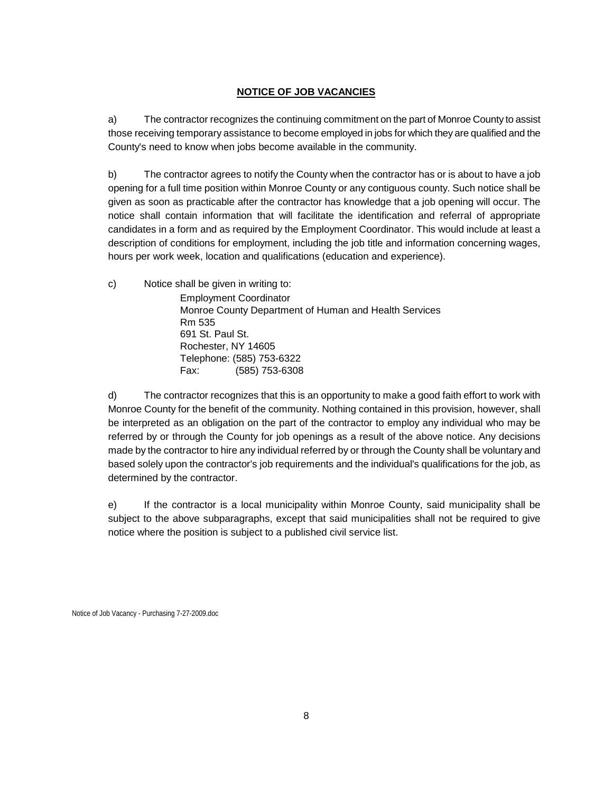#### **NOTICE OF JOB VACANCIES**

a) The contractor recognizes the continuing commitment on the part of Monroe County to assist those receiving temporary assistance to become employed in jobs for which they are qualified and the County's need to know when jobs become available in the community.

b) The contractor agrees to notify the County when the contractor has or is about to have a job opening for a full time position within Monroe County or any contiguous county. Such notice shall be given as soon as practicable after the contractor has knowledge that a job opening will occur. The notice shall contain information that will facilitate the identification and referral of appropriate candidates in a form and as required by the Employment Coordinator. This would include at least a description of conditions for employment, including the job title and information concerning wages, hours per work week, location and qualifications (education and experience).

c) Notice shall be given in writing to: Employment Coordinator Monroe County Department of Human and Health Services Rm 535 691 St. Paul St. Rochester, NY 14605 Telephone: (585) 753-6322 Fax: (585) 753-6308

d) The contractor recognizes that this is an opportunity to make a good faith effort to work with Monroe County for the benefit of the community. Nothing contained in this provision, however, shall be interpreted as an obligation on the part of the contractor to employ any individual who may be referred by or through the County for job openings as a result of the above notice. Any decisions made by the contractor to hire any individual referred by or through the County shall be voluntary and based solely upon the contractor's job requirements and the individual's qualifications for the job, as determined by the contractor.

e) If the contractor is a local municipality within Monroe County, said municipality shall be subject to the above subparagraphs, except that said municipalities shall not be required to give notice where the position is subject to a published civil service list.

Notice of Job Vacancy - Purchasing 7-27-2009.doc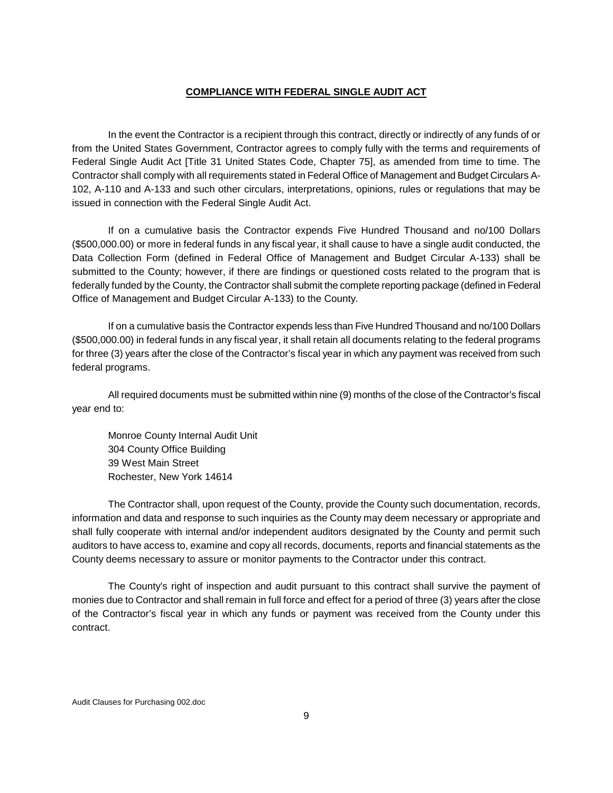#### **COMPLIANCE WITH FEDERAL SINGLE AUDIT ACT**

In the event the Contractor is a recipient through this contract, directly or indirectly of any funds of or from the United States Government, Contractor agrees to comply fully with the terms and requirements of Federal Single Audit Act [Title 31 United States Code, Chapter 75], as amended from time to time. The Contractor shall comply with all requirements stated in Federal Office of Management and Budget Circulars A-102, A-110 and A-133 and such other circulars, interpretations, opinions, rules or regulations that may be issued in connection with the Federal Single Audit Act.

If on a cumulative basis the Contractor expends Five Hundred Thousand and no/100 Dollars (\$500,000.00) or more in federal funds in any fiscal year, it shall cause to have a single audit conducted, the Data Collection Form (defined in Federal Office of Management and Budget Circular A-133) shall be submitted to the County; however, if there are findings or questioned costs related to the program that is federally funded by the County, the Contractor shall submit the complete reporting package (defined in Federal Office of Management and Budget Circular A-133) to the County.

If on a cumulative basis the Contractor expends less than Five Hundred Thousand and no/100 Dollars (\$500,000.00) in federal funds in any fiscal year, it shall retain all documents relating to the federal programs for three (3) years after the close of the Contractor's fiscal year in which any payment was received from such federal programs.

All required documents must be submitted within nine (9) months of the close of the Contractor's fiscal year end to:

Monroe County Internal Audit Unit 304 County Office Building 39 West Main Street Rochester, New York 14614

The Contractor shall, upon request of the County, provide the County such documentation, records, information and data and response to such inquiries as the County may deem necessary or appropriate and shall fully cooperate with internal and/or independent auditors designated by the County and permit such auditors to have access to, examine and copy all records, documents, reports and financial statements as the County deems necessary to assure or monitor payments to the Contractor under this contract.

The County's right of inspection and audit pursuant to this contract shall survive the payment of monies due to Contractor and shall remain in full force and effect for a period of three (3) years after the close of the Contractor's fiscal year in which any funds or payment was received from the County under this contract.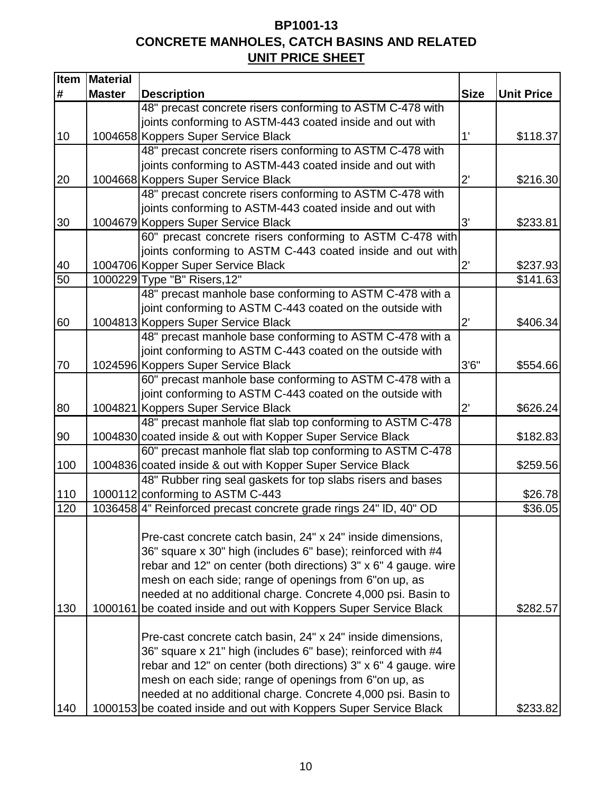# **BP1001-13 CONCRETE MANHOLES, CATCH BASINS AND RELATED UNIT PRICE SHEET**

| <b>Item</b> | <b>Material</b> |                                                                                                   |              |                   |
|-------------|-----------------|---------------------------------------------------------------------------------------------------|--------------|-------------------|
| #           | <b>Master</b>   | <b>Description</b>                                                                                | <b>Size</b>  | <b>Unit Price</b> |
|             |                 | 48" precast concrete risers conforming to ASTM C-478 with                                         |              |                   |
|             |                 | joints conforming to ASTM-443 coated inside and out with                                          |              |                   |
| 10          |                 | 1004658 Koppers Super Service Black                                                               | 1'           | \$118.37          |
|             |                 | 48" precast concrete risers conforming to ASTM C-478 with                                         |              |                   |
|             |                 | joints conforming to ASTM-443 coated inside and out with                                          |              |                   |
| 20          |                 | 1004668 Koppers Super Service Black                                                               | $2^{\prime}$ | \$216.30          |
|             |                 | 48" precast concrete risers conforming to ASTM C-478 with                                         |              |                   |
|             |                 | joints conforming to ASTM-443 coated inside and out with                                          |              |                   |
| 30          |                 | 1004679 Koppers Super Service Black                                                               | 3'           | \$233.81          |
|             |                 | 60" precast concrete risers conforming to ASTM C-478 with                                         |              |                   |
|             |                 | joints conforming to ASTM C-443 coated inside and out with                                        |              |                   |
| 40          |                 | 1004706 Kopper Super Service Black                                                                | $2^{\prime}$ | \$237.93          |
| 50          |                 | 1000229 Type "B" Risers, 12"                                                                      |              | \$141.63          |
|             |                 | 48" precast manhole base conforming to ASTM C-478 with a                                          |              |                   |
|             |                 | joint conforming to ASTM C-443 coated on the outside with                                         |              |                   |
| 60          |                 | 1004813 Koppers Super Service Black                                                               | $2^{\prime}$ | \$406.34          |
|             |                 | 48" precast manhole base conforming to ASTM C-478 with a                                          |              |                   |
|             |                 | joint conforming to ASTM C-443 coated on the outside with                                         |              |                   |
| 70          |                 | 1024596 Koppers Super Service Black                                                               | 3'6''        | \$554.66          |
|             |                 | 60" precast manhole base conforming to ASTM C-478 with a                                          |              |                   |
|             |                 | joint conforming to ASTM C-443 coated on the outside with                                         | $2^\circ$    |                   |
| 80          |                 | 1004821 Koppers Super Service Black<br>48" precast manhole flat slab top conforming to ASTM C-478 |              | \$626.24          |
| 90          |                 | 1004830 coated inside & out with Kopper Super Service Black                                       |              |                   |
|             |                 | 60" precast manhole flat slab top conforming to ASTM C-478                                        |              | \$182.83          |
| 100         |                 | 1004836 coated inside & out with Kopper Super Service Black                                       |              | \$259.56          |
|             |                 | 48" Rubber ring seal gaskets for top slabs risers and bases                                       |              |                   |
| 110         |                 | 1000112 conforming to ASTM C-443                                                                  |              | \$26.78           |
| 120         |                 | 1036458 4" Reinforced precast concrete grade rings 24" ID, 40" OD                                 |              | \$36.05           |
|             |                 |                                                                                                   |              |                   |
|             |                 | Pre-cast concrete catch basin, 24" x 24" inside dimensions,                                       |              |                   |
|             |                 | 36" square x 30" high (includes 6" base); reinforced with #4                                      |              |                   |
|             |                 | rebar and 12" on center (both directions) 3" x 6" 4 gauge. wire                                   |              |                   |
|             |                 | mesh on each side; range of openings from 6"on up, as                                             |              |                   |
|             |                 | needed at no additional charge. Concrete 4,000 psi. Basin to                                      |              |                   |
| 130         | 1000161         | be coated inside and out with Koppers Super Service Black                                         |              | \$282.57          |
|             |                 |                                                                                                   |              |                   |
|             |                 | Pre-cast concrete catch basin, 24" x 24" inside dimensions,                                       |              |                   |
|             |                 | 36" square x 21" high (includes 6" base); reinforced with #4                                      |              |                   |
|             |                 | rebar and 12" on center (both directions) 3" x 6" 4 gauge. wire                                   |              |                   |
|             |                 | mesh on each side; range of openings from 6"on up, as                                             |              |                   |
|             |                 | needed at no additional charge. Concrete 4,000 psi. Basin to                                      |              |                   |
| 140         |                 | 1000153 be coated inside and out with Koppers Super Service Black                                 |              | \$233.82          |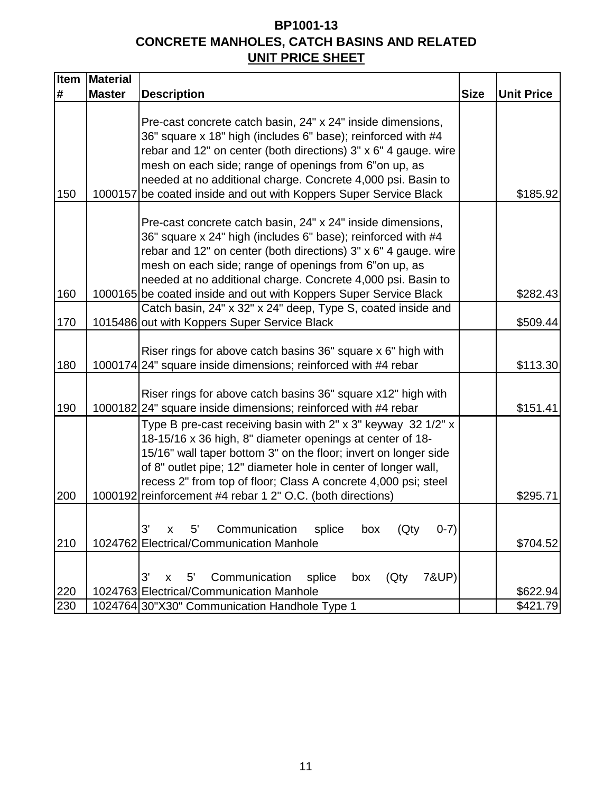# **BP1001-13 CONCRETE MANHOLES, CATCH BASINS AND RELATED UNIT PRICE SHEET**

| <b>Item</b> | Material      |                                                                                                                                                                                                                                                                                                                                                                                                 |             |                      |
|-------------|---------------|-------------------------------------------------------------------------------------------------------------------------------------------------------------------------------------------------------------------------------------------------------------------------------------------------------------------------------------------------------------------------------------------------|-------------|----------------------|
| #           | <b>Master</b> | <b>Description</b>                                                                                                                                                                                                                                                                                                                                                                              | <b>Size</b> | <b>Unit Price</b>    |
| 150         | 1000157       | Pre-cast concrete catch basin, 24" x 24" inside dimensions,<br>36" square x 18" high (includes 6" base); reinforced with #4<br>rebar and 12" on center (both directions) 3" x 6" 4 gauge. wire<br>mesh on each side; range of openings from 6"on up, as<br>needed at no additional charge. Concrete 4,000 psi. Basin to<br>be coated inside and out with Koppers Super Service Black            |             | \$185.92             |
| 160         |               | Pre-cast concrete catch basin, 24" x 24" inside dimensions,<br>36" square x 24" high (includes 6" base); reinforced with #4<br>rebar and 12" on center (both directions) 3" x 6" 4 gauge. wire<br>mesh on each side; range of openings from 6"on up, as<br>needed at no additional charge. Concrete 4,000 psi. Basin to<br>1000165 be coated inside and out with Koppers Super Service Black    |             | \$282.43             |
|             |               | Catch basin, 24" x 32" x 24" deep, Type S, coated inside and                                                                                                                                                                                                                                                                                                                                    |             |                      |
| 170         |               | 1015486 out with Koppers Super Service Black                                                                                                                                                                                                                                                                                                                                                    |             | \$509.44             |
| 180         |               | Riser rings for above catch basins 36" square x 6" high with<br>1000174 24" square inside dimensions; reinforced with #4 rebar                                                                                                                                                                                                                                                                  |             | \$113.30             |
| 190         |               | Riser rings for above catch basins 36" square x12" high with<br>1000182 24" square inside dimensions; reinforced with #4 rebar                                                                                                                                                                                                                                                                  |             | \$151.41             |
| 200         |               | Type B pre-cast receiving basin with 2" x 3" keyway 32 1/2" x<br>18-15/16 x 36 high, 8" diameter openings at center of 18-<br>15/16" wall taper bottom 3" on the floor; invert on longer side<br>of 8" outlet pipe; 12" diameter hole in center of longer wall,<br>recess 2" from top of floor; Class A concrete 4,000 psi; steel<br>1000192 reinforcement #4 rebar 1 2" O.C. (both directions) |             | \$295.71             |
| 210         |               | 3'<br>5'<br>Communication<br>splice<br>(Qty<br>$0-7)$<br>X<br>box<br>1024762 Electrical/Communication Manhole                                                                                                                                                                                                                                                                                   |             | \$704.52             |
|             |               |                                                                                                                                                                                                                                                                                                                                                                                                 |             |                      |
| 220         |               | 3'<br>Communication<br>splice<br>7&UP)<br>$5^{\prime}$<br>(Qty<br>X<br>box<br>1024763 Electrical/Communication Manhole                                                                                                                                                                                                                                                                          |             |                      |
| 230         |               | 1024764 30"X30" Communication Handhole Type 1                                                                                                                                                                                                                                                                                                                                                   |             | \$622.94<br>\$421.79 |